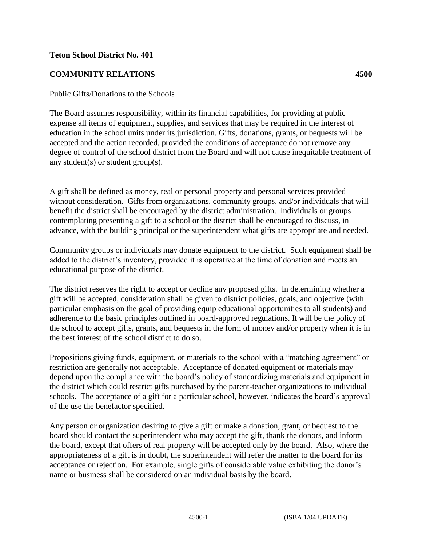## **Teton School District No. 401**

## **COMMUNITY RELATIONS 4500**

## Public Gifts/Donations to the Schools

The Board assumes responsibility, within its financial capabilities, for providing at public expense all items of equipment, supplies, and services that may be required in the interest of education in the school units under its jurisdiction. Gifts, donations, grants, or bequests will be accepted and the action recorded, provided the conditions of acceptance do not remove any degree of control of the school district from the Board and will not cause inequitable treatment of any student(s) or student group(s).

A gift shall be defined as money, real or personal property and personal services provided without consideration. Gifts from organizations, community groups, and/or individuals that will benefit the district shall be encouraged by the district administration. Individuals or groups contemplating presenting a gift to a school or the district shall be encouraged to discuss, in advance, with the building principal or the superintendent what gifts are appropriate and needed.

Community groups or individuals may donate equipment to the district. Such equipment shall be added to the district's inventory, provided it is operative at the time of donation and meets an educational purpose of the district.

The district reserves the right to accept or decline any proposed gifts. In determining whether a gift will be accepted, consideration shall be given to district policies, goals, and objective (with particular emphasis on the goal of providing equip educational opportunities to all students) and adherence to the basic principles outlined in board-approved regulations. It will be the policy of the school to accept gifts, grants, and bequests in the form of money and/or property when it is in the best interest of the school district to do so.

Propositions giving funds, equipment, or materials to the school with a "matching agreement" or restriction are generally not acceptable. Acceptance of donated equipment or materials may depend upon the compliance with the board's policy of standardizing materials and equipment in the district which could restrict gifts purchased by the parent-teacher organizations to individual schools. The acceptance of a gift for a particular school, however, indicates the board's approval of the use the benefactor specified.

Any person or organization desiring to give a gift or make a donation, grant, or bequest to the board should contact the superintendent who may accept the gift, thank the donors, and inform the board, except that offers of real property will be accepted only by the board. Also, where the appropriateness of a gift is in doubt, the superintendent will refer the matter to the board for its acceptance or rejection. For example, single gifts of considerable value exhibiting the donor's name or business shall be considered on an individual basis by the board.